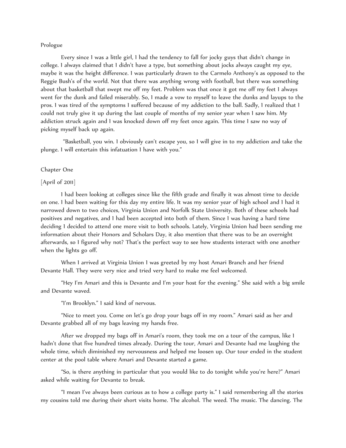## Prologue

Every since I was a little girl, I had the tendency to fall for jocky guys that didn't change in college. I always claimed that I didn't have a type, but something about jocks always caught my eye, maybe it was the height difference. I was particularly drawn to the Carmelo Anthony's as opposed to the Reggie Bush's of the world. Not that there was anything wrong with football, but there was something about that basketball that swept me off my feet. Problem was that once it got me off my feet I always went for the dunk and failed miserably. So, I made a vow to myself to leave the dunks and layups to the pros. I was tired of the symptoms I suffered because of my addiction to the ball. Sadly, I realized that I could not truly give it up during the last couple of months of my senior year when I saw him. My addiction struck again and I was knocked down off my feet once again. This time I saw no way of picking myself back up again.

"Basketball, you win. I obviously can't escape you, so I will give in to my addiction and take the plunge. I will entertain this infatuation I have with you."

## Chapter One

## [April of 2011]

I had been looking at colleges since like the fifth grade and finally it was almost time to decide on one. I had been waiting for this day my entire life. It was my senior year of high school and I had it narrowed down to two choices, Virginia Union and Norfolk State University. Both of these schools had positives and negatives, and I had been accepted into both of them. Since I was having a hard time deciding I decided to attend one more visit to both schools. Lately, Virginia Union had been sending me information about their Honors and Scholars Day, it also mention that there was to be an overnight afterwards, so I figured why not? That's the perfect way to see how students interact with one another when the lights go off.

When I arrived at Virginia Union I was greeted by my host Amari Branch and her friend Devante Hall. They were very nice and tried very hard to make me feel welcomed.

"Hey I'm Amari and this is Devante and I'm your host for the evening." She said with a big smile and Devante waved.

"I'm Brooklyn." I said kind of nervous.

"Nice to meet you. Come on let's go drop your bags off in my room." Amari said as her and Devante grabbed all of my bags leaving my hands free.

After we dropped my bags off in Amari's room, they took me on a tour of the campus, like I hadn't done that five hundred times already. During the tour, Amari and Devante had me laughing the whole time, which diminished my nervousness and helped me loosen up. Our tour ended in the student center at the pool table where Amari and Devante started a game.

"So, is there anything in particular that you would like to do tonight while you're here?" Amari asked while waiting for Devante to break.

"I mean I've always been curious as to how a college party is." I said remembering all the stories my cousins told me during their short visits home. The alcohol. The weed. The music. The dancing. The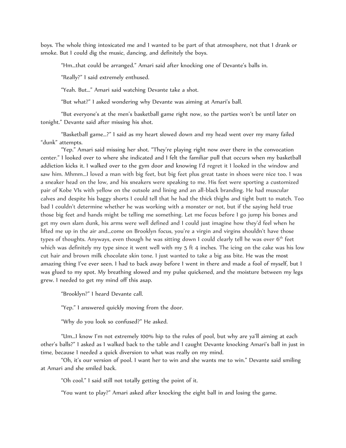boys. The whole thing intoxicated me and I wanted to be part of that atmosphere, not that I drank or smoke. But I could dig the music, dancing, and definitely the boys.

"Hm…that could be arranged." Amari said after knocking one of Devante's balls in.

"Really?" I said extremely enthused.

"Yeah. But…" Amari said watching Devante take a shot.

"But what?" I asked wondering why Devante was aiming at Amari's ball.

"But everyone's at the men's basketball game right now, so the parties won't be until later on tonight." Devante said after missing his shot.

"Basketball game…?" I said as my heart slowed down and my head went over my many failed "dunk" attempts.

"Yep." Amari said missing her shot. "They're playing right now over there in the convocation center." I looked over to where she indicated and I felt the familiar pull that occurs when my basketball addiction kicks it. I walked over to the gym door and knowing I'd regret it I looked in the window and saw him. Mhmm...I loved a man with big feet, but big feet plus great taste in shoes were nice too. I was a sneaker head on the low, and his sneakers were speaking to me. His feet were sporting a customized pair of Kobe VIs with yellow on the outsole and lining and an all-black branding. He had muscular calves and despite his baggy shorts I could tell that he had the thick thighs and tight butt to match. Too bad I couldn't determine whether he was working with a monster or not, but if the saying held true those big feet and hands might be telling me something. Let me focus before I go jump his bones and get my own slam dunk, his arms were well defined and I could just imagine how they'd feel when he lifted me up in the air and…come on Brooklyn focus, you're a virgin and virgins shouldn't have those types of thoughts. Anyways, even though he was sitting down I could clearly tell he was over 6<sup>th</sup> feet which was definitely my type since it went well with my 5 ft 4 inches. The icing on the cake was his low cut hair and brown milk chocolate skin tone. I just wanted to take a big ass bite. He was the most amazing thing I've ever seen. I had to back away before I went in there and made a fool of myself, but I was glued to my spot. My breathing slowed and my pulse quickened, and the moisture between my legs grew. I needed to get my mind off this asap.

"Brooklyn?" I heard Devante call.

"Yep." I answered quickly moving from the door.

"Why do you look so confused?" He asked.

"Um…I know I'm not extremely 100% hip to the rules of pool, but why are ya'll aiming at each other's balls?" I asked as I walked back to the table and I caught Devante knocking Amari's ball in just in time, because I needed a quick diversion to what was really on my mind.

"Oh, it's our version of pool. I want her to win and she wants me to win." Devante said smiling at Amari and she smiled back.

"Oh cool." I said still not totally getting the point of it.

"You want to play?" Amari asked after knocking the eight ball in and losing the game.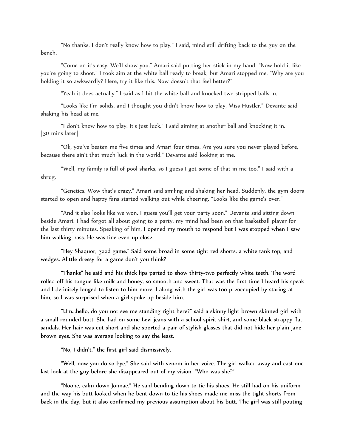"No thanks. I don't really know how to play." I said, mind still drifting back to the guy on the bench.

"Come on it's easy. We'll show you." Amari said putting her stick in my hand. "Now hold it like you're going to shoot." I took aim at the white ball ready to break, but Amari stopped me. "Why are you holding it so awkwardly? Here, try it like this. Now doesn't that feel better?"

"Yeah it does actually." I said as I hit the white ball and knocked two stripped balls in.

"Looks like I'm solids, and I thought you didn't know how to play, Miss Hustler." Devante said shaking his head at me.

"I don't know how to play. It's just luck." I said aiming at another ball and knocking it in. [30 mins later]

"Ok, you've beaten me five times and Amari four times. Are you sure you never played before, because there ain't that much luck in the world." Devante said looking at me.

"Well, my family is full of pool sharks, so I guess I got some of that in me too." I said with a shrug.

"Genetics. Wow that's crazy." Amari said smiling and shaking her head. Suddenly, the gym doors started to open and happy fans started walking out while cheering. "Looks like the game's over."

"And it also looks like we won. I guess you'll get your party soon." Devante said sitting down beside Amari. I had forgot all about going to a party, my mind had been on that basketball player for the last thirty minutes. Speaking of him, I opened my mouth to respond but I was stopped when I saw him walking pass. He was fine even up close.

"Hey Shaquor, good game." Said some broad in some tight red shorts, a white tank top, and wedges. Alittle dressy for a game don't you think?

"Thanks" he said and his thick lips parted to show thirty-two perfectly white teeth. The word rolled off his tongue like milk and honey, so smooth and sweet. That was the first time I heard his speak and I definitely longed to listen to him more. I along with the girl was too preoccupied by staring at him, so I was surprised when a girl spoke up beside him.

"Um...hello, do you not see me standing right here?" said a skinny light brown skinned girl with a small rounded butt. She had on some Levi jeans with a school spirit shirt, and some black strappy flat sandals. Her hair was cut short and she sported a pair of stylish glasses that did not hide her plain jane brown eyes. She was average looking to say the least.

"No, I didn't." the first girl said dismissively.

"Well, now you do so bye." She said with venom in her voice. The girl walked away and cast one last look at the guy before she disappeared out of my vision. "Who was she?"

"Noone, calm down Jonnae." He said bending down to tie his shoes. He still had on his uniform and the way his butt looked when he bent down to tie his shoes made me miss the tight shorts from back in the day, but it also confirmed my previous assumption about his butt. The girl was still pouting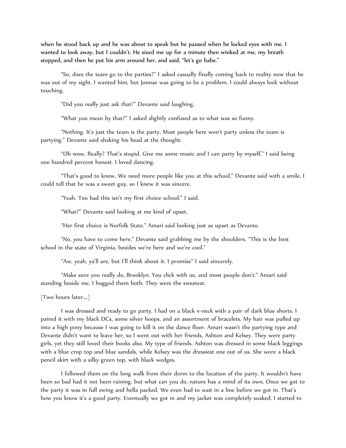when he stood back up and he was about to speak but he paused when he locked eyes with me. I wanted to look away, but I couldn't. He sized me up for a minute then winked at me, my breath stopped, and then he put his arm around her, and said, "let's go babe."

"So, does the team go to the parties?" I asked casually finally coming back to reality now that he was out of my sight. I wanted him, but Jonnae was going to be a problem. I could always look without touching.

"Did you really just ask that?" Devante said laughing.

"What you mean by that?" I asked slightly confused as to what was so funny.

"Nothing. It's just the team is the party. Most people here won't party unless the team is partying." Devante said shaking his head at the thought.

"Oh wow. Really? That's stupid. Give me some music and I can party by myself." I said being one hundred percent honest. I loved dancing.

"That's good to know. We need more people like you at this school." Devante said with a smile. I could tell that he was a sweet guy, so I knew it was sincere.

"Yeah. Too bad this isn't my first choice school." I said.

"What?" Devante said looking at me kind of upset.

"Her first choice is Norfolk State." Amari said looking just as upset as Devante.

"No, you have to come here." Devante said grabbing me by the shoulders. "This is the best school in the state of Virginia, besides we're here and we're cool."

"Aw, yeah, ya'll are, but I'll think about it. I promise" I said sincerely.

"Make sure you really do, Brooklyn. You click with us, and most people don't." Amari said standing beside me. I hugged them both. They were the sweetest.

[Two hours later….]

I was dressed and ready to go party. I had on a black v-neck with a pair of dark blue shorts. I paired it with my black DCs, some silver hoops, and an assortment of bracelets. My hair was pulled up into a high pony because I was going to kill it on the dance floor. Amari wasn't the partying type and Devante didn't want to leave her, so I went out with her friends, Ashton and Kelsey. They were party girls, yet they still loved their books also. My type of friends. Ashton was dressed in some black leggings with a blue crop top and blue sandals, while Kelsey was the dressiest one out of us. She wore a black pencil skirt with a silky green top, with black wedges.

I followed them on the long walk from their dorm to the location of the party. It wouldn't have been so bad had it not been raining, but what can you do, nature has a mind of its own. Once we got to the party it was in full swing and hella packed. We even had to wait in a line before we got in. That's how you know it's a good party. Eventually we got in and my jacket was completely soaked. I started to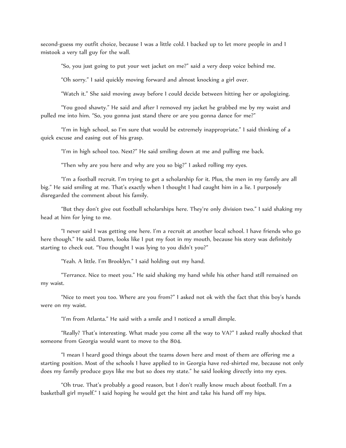second-guess my outfit choice, because I was a little cold. I backed up to let more people in and I mistook a very tall guy for the wall.

"So, you just going to put your wet jacket on me?" said a very deep voice behind me.

"Oh sorry." I said quickly moving forward and almost knocking a girl over.

"Watch it." She said moving away before I could decide between hitting her or apologizing.

"You good shawty." He said and after I removed my jacket he grabbed me by my waist and pulled me into him. "So, you gonna just stand there or are you gonna dance for me?"

"I'm in high school, so I'm sure that would be extremely inappropriate." I said thinking of a quick excuse and easing out of his grasp.

"I'm in high school too. Next?" He said smiling down at me and pulling me back.

"Then why are you here and why are you so big?" I asked rolling my eyes.

"I'm a football recruit. I'm trying to get a scholarship for it. Plus, the men in my family are all big." He said smiling at me. That's exactly when I thought I had caught him in a lie. I purposely disregarded the comment about his family.

"But they don't give out football scholarships here. They're only division two." I said shaking my head at him for lying to me.

"I never said I was getting one here. I'm a recruit at another local school. I have friends who go here though." He said. Damn, looks like I put my foot in my mouth, because his story was definitely starting to check out. "You thought I was lying to you didn't you?"

"Yeah. A little. I'm Brooklyn." I said holding out my hand.

"Terrance. Nice to meet you." He said shaking my hand while his other hand still remained on my waist.

"Nice to meet you too. Where are you from?" I asked not ok with the fact that this boy's hands were on my waist.

"I'm from Atlanta." He said with a smile and I noticed a small dimple.

"Really? That's interesting. What made you come all the way to VA?" I asked really shocked that someone from Georgia would want to move to the 804.

"I mean I heard good things about the teams down here and most of them are offering me a starting position. Most of the schools I have applied to in Georgia have red-shirted me, because not only does my family produce guys like me but so does my state." he said looking directly into my eyes.

"Oh true. That's probably a good reason, but I don't really know much about football. I'm a basketball girl myself." I said hoping he would get the hint and take his hand off my hips.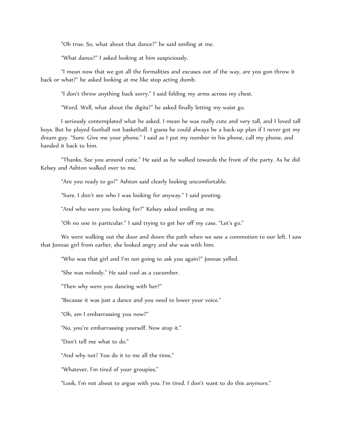"Oh true. So, what about that dance?" he said smiling at me.

"What dance?" I asked looking at him suspiciously.

"I mean now that we got all the formalities and excuses out of the way, are you gon throw it back or what?" he asked looking at me like stop acting dumb.

"I don't throw anything back sorry." I said folding my arms across my chest.

"Word. Well, what about the digits?" he asked finally letting my waist go.

I seriously contemplated what he asked. I mean he was really cute and very tall, and I loved tall boys. But he played football not basketball. I guess he could always be a back-up plan if I never got my dream guy. "Sure. Give me your phone." I said as I put my number in his phone, call my phone, and handed it back to him.

"Thanks. See you around cutie." He said as he walked towards the front of the party. As he did Kelsey and Ashton walked over to me.

"Are you ready to go?" Ashton said clearly looking uncomfortable.

"Sure. I don't see who I was looking for anyway." I said pouting.

"And who were you looking for?" Kelsey asked smiling at me.

"Oh no one in particular." I said trying to get her off my case. "Let's go."

We were walking out the door and down the path when we saw a commotion to our left. I saw that Jonnae girl from earlier, she looked angry and she was with him.

"Who was that girl and I'm not going to ask you again?" Jonnae yelled.

"She was nobody." He said cool as a cucumber.

"Then why were you dancing with her?"

"Because it was just a dance and you need to lower your voice."

"Oh, am I embarrassing you now?"

"No, you're embarrassing yourself. Now stop it."

"Don't tell me what to do."

"And why not? You do it to me all the time."

"Whatever, I'm tired of your groupies."

"Look, I'm not about to argue with you. I'm tired. I don't want to do this anymore."